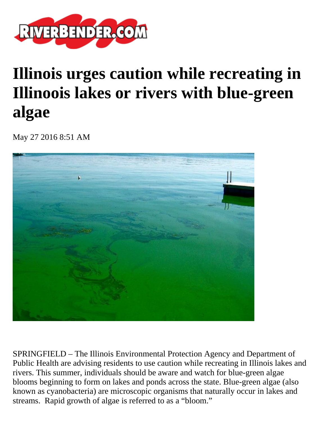

## **Illinois urges caution while recreating in Illinoois lakes or rivers with blue-green algae**

May 27 2016 8:51 AM



SPRINGFIELD – The Illinois Environmental Protection Agency and Department of Public Health are advising residents to use caution while recreating in Illinois lakes and rivers. This summer, individuals should be aware and watch for blue-green algae blooms beginning to form on lakes and ponds across the state. Blue-green algae (also known as cyanobacteria) are microscopic organisms that naturally occur in lakes and streams. Rapid growth of algae is referred to as a "bloom."